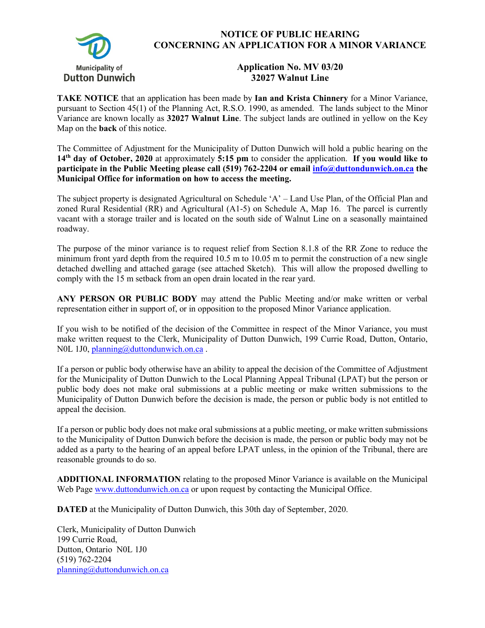

## **NOTICE OF PUBLIC HEARING CONCERNING AN APPLICATION FOR A MINOR VARIANCE**

## **Application No. MV 03/20 32027 Walnut Line**

**TAKE NOTICE** that an application has been made by **Ian and Krista Chinnery** for a Minor Variance, pursuant to Section 45(1) of the Planning Act, R.S.O. 1990, as amended. The lands subject to the Minor Variance are known locally as **32027 Walnut Line**. The subject lands are outlined in yellow on the Key Map on the **back** of this notice.

The Committee of Adjustment for the Municipality of Dutton Dunwich will hold a public hearing on the **14th day of October, 2020** at approximately **5:15 pm** to consider the application. **If you would like to participate in the Public Meeting please call (519) 762-2204 or email [info@duttondunwich.on.ca](mailto:info@duttondunwich.on.ca) the Municipal Office for information on how to access the meeting.**

The subject property is designated Agricultural on Schedule 'A' – Land Use Plan, of the Official Plan and zoned Rural Residential (RR) and Agricultural (A1-5) on Schedule A, Map 16. The parcel is currently vacant with a storage trailer and is located on the south side of Walnut Line on a seasonally maintained roadway.

The purpose of the minor variance is to request relief from Section 8.1.8 of the RR Zone to reduce the minimum front yard depth from the required 10.5 m to 10.05 m to permit the construction of a new single detached dwelling and attached garage (see attached Sketch). This will allow the proposed dwelling to comply with the 15 m setback from an open drain located in the rear yard.

**ANY PERSON OR PUBLIC BODY** may attend the Public Meeting and/or make written or verbal representation either in support of, or in opposition to the proposed Minor Variance application.

If you wish to be notified of the decision of the Committee in respect of the Minor Variance, you must make written request to the Clerk, Municipality of Dutton Dunwich, 199 Currie Road, Dutton, Ontario, N0L 1J0[, planning@duttondunwich.on.ca](mailto:planning@duttondunwich.on.ca).

If a person or public body otherwise have an ability to appeal the decision of the Committee of Adjustment for the Municipality of Dutton Dunwich to the Local Planning Appeal Tribunal (LPAT) but the person or public body does not make oral submissions at a public meeting or make written submissions to the Municipality of Dutton Dunwich before the decision is made, the person or public body is not entitled to appeal the decision.

If a person or public body does not make oral submissions at a public meeting, or make written submissions to the Municipality of Dutton Dunwich before the decision is made, the person or public body may not be added as a party to the hearing of an appeal before LPAT unless, in the opinion of the Tribunal, there are reasonable grounds to do so.

**ADDITIONAL INFORMATION** relating to the proposed Minor Variance is available on the Municipal Web Page [www.duttondunwich.on.ca](http://www.duttondunwich.on.ca/) or upon request by contacting the Municipal Office.

**DATED** at the Municipality of Dutton Dunwich, this 30th day of September, 2020.

Clerk, Municipality of Dutton Dunwich 199 Currie Road, Dutton, Ontario N0L 1J0 (519) 762-2204 [planning@duttondunwich.on.ca](mailto:planning@duttondunwich.on.ca)